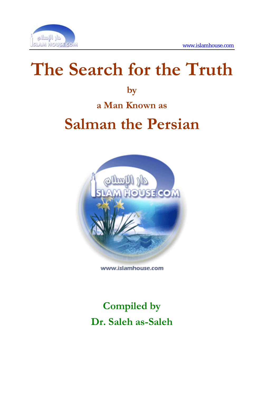

# **The Search for the Truth**

**by** 

**a Man Known as** 

# **Salman the Persian**



www.islamhouse.com

**Compiled by Dr. Saleh as-Saleh**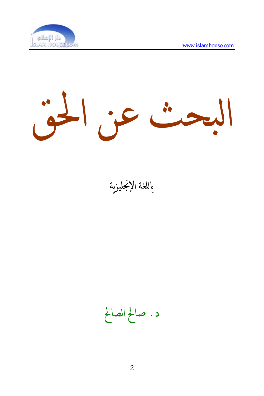

بحث عن الحق 

باللغة الإنجليزية

د. صالح الصالح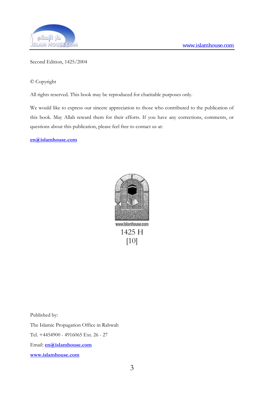

#### Second Edition, 1425/2004

© Copyright

All rights reserved. This book may be reproduced for charitable purposes only.

We would like to express our sincere appreciation to those who contributed to the publication of this book. May Allah reward them for their efforts. If you have any corrections, comments, or questions about this publication, please feel free to contact us at:

**[en@islamhouse.com](mailto:en@islamhouse.com?subject=Comments%20about%20book%20%22en10%22)**



www.islamhouse.com 1425 H [10]

Published by:

The Islamic Propagation Office in Rabwah

Tel. +4454900 - 4916065 Ext. 26 - 27

Email: **[en@islamhouse.com](mailto:en@islamhouse.com?subject=Comments%20about%20book%20%22en10%22)**

**www.islamhouse.com**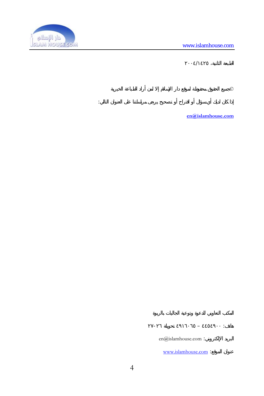

 $\frac{1}{\sqrt{1-\frac{1}{2}}\sqrt{1-\frac{1}{2}}\sqrt{1-\frac{1}{2}}\sqrt{1-\frac{1}{2}}\sqrt{1-\frac{1}{2}}\sqrt{1-\frac{1}{2}}\sqrt{1-\frac{1}{2}}\sqrt{1-\frac{1}{2}}\sqrt{1-\frac{1}{2}}\sqrt{1-\frac{1}{2}}\sqrt{1-\frac{1}{2}}\sqrt{1-\frac{1}{2}}\sqrt{1-\frac{1}{2}}\sqrt{1-\frac{1}{2}}\sqrt{1-\frac{1}{2}}\sqrt{1-\frac{1}{2}}\sqrt{1-\frac{1}{2}}\sqrt{1-\frac{1}{2}}\sqrt{1-\frac{1}{2}}\sqrt{1-\frac$ 

إذا ان لديك أي سؤال أو اقتراح أو تصحيح يرجى مراسلتنا على العنوان التالي:

 $\mathbb{C}$ 

**[en@islamhouse.com](mailto:en@islamhouse.com?subject=Comments%20about%20book%20%22en10%22)**

en@islamhouse.com :

www.islamhouse.com :

هاتف: ٤٤٥٤٩٠٠ – ٤٩١٦٠٦٥ تحويلة ٢٧-٢٦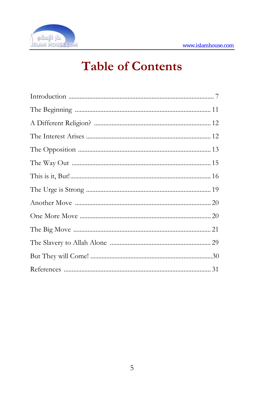

## **Table of Contents**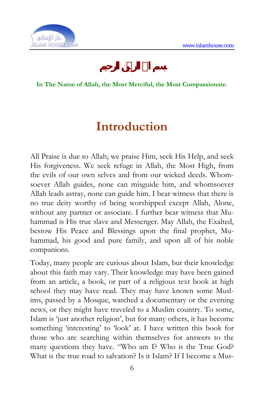

#### **In The Name of Allah, the Most Merciful, the Most Compassionate.**

## **Introduction**

All Praise is due to Allah; we praise Him, seek His Help, and seek His forgiveness. We seek refuge in Allah, the Most High, from the evils of our own selves and from our wicked deeds. Whomsoever Allah guides, none can misguide him, and whomsoever Allah leads astray, none can guide him. I bear witness that there is no true deity worthy of being worshipped except Allah, Alone, without any partner or associate. I further bear witness that Muhammad is His true slave and Messenger. May Allah, the Exalted, bestow His Peace and Blessings upon the final prophet, Muhammad, his good and pure family, and upon all of his noble companions.

Today, many people are curious about Islam, but their knowledge about this faith may vary. Their knowledge may have been gained from an article, a book, or part of a religious text book at high school they may have read. They may have known some Muslims, passed by a Mosque, watched a documentary or the evening news, or they might have traveled to a Muslim country. To some, Islam is 'just another religion', but for many others, it has become something 'interesting' to 'look' at. I have written this book for those who are searching within themselves for answers to the many questions they have. "Who am I? Who is the True God? What is the true road to salvation? Is it Islam? If I become a Mus-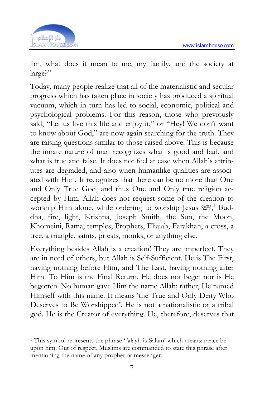

lim, what does it mean to me, my family, and the society at large?"

Today, many people realize that all of the materialistic and secular progress which has taken place in society has produced a spiritual vacuum, which in turn has led to social, economic, political and psychological problems. For this reason, those who previously said, "Let us live this life and enjoy it," or "Hey! We don't want to know about God," are now again searching for the truth. They are raising questions similar to those raised above. This is because the innate nature of man recognizes what is good and bad, and what is true and false. It does not feel at ease when Allah's attributes are degraded, and also when humanlike qualities are associated with Him. It recognizes that there can be no more than One and Only True God, and thus One and Only true religion accepted by Him. Allah does not request some of the creation to worship Him alone, while ordering to worship Jesus  $\mathbb{N}^1$  Buddha, fire, light, Krishna, Joseph Smith, the Sun, the Moon, Khomeini, Rama, temples, Prophets, Eliajah, Farakhan, a cross, a tree, a triangle, saints, priests, monks, or anything else.

Everything besides Allah is a creation! They are imperfect. They are in need of others, but Allah is Self-Sufficient. He is The First, having nothing before Him, and The Last, having nothing after Him. To Him is the Final Return. He does not beget nor is He begotten. No human gave Him the name Allah; rather, He named Himself with this name. It means 'the True and Only Deity Who Deserves to Be Worshipped'. He is not a nationalistic or a tribal god. He is the Creator of everything. He, therefore, deserves that

<sup>1</sup> This symbol represents the phrase ' 'alayh-is-Salam' which means: peace be upon him. Out of respect, Muslims are commanded to state this phrase after mentioning the name of any prophet or messenger.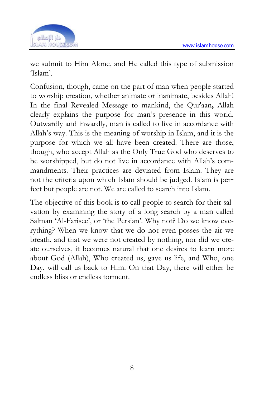

we submit to Him Alone, and He called this type of submission 'Islam'.

Confusion, though, came on the part of man when people started to worship creation, whether animate or inanimate, besides Allah! In the final Revealed Message to mankind, the Qur'aan**,** Allah clearly explains the purpose for man's presence in this world. Outwardly and inwardly, man is called to live in accordance with Allah's way. This is the meaning of worship in Islam, and it is the purpose for which we all have been created. There are those, though, who accept Allah as the Only True God who deserves to be worshipped, but do not live in accordance with Allah's commandments. Their practices are deviated from Islam. They are not the criteria upon which Islam should be judged. Islam is per fect but people are not. We are called to search into Islam.

The objective of this book is to call people to search for their salvation by examining the story of a long search by a man called Salman 'Al-Farisee', or 'the Persian'. Why not? Do we know everything? When we know that we do not even posses the air we breath, and that we were not created by nothing, nor did we create ourselves, it becomes natural that one desires to learn more about God (Allah), Who created us, gave us life, and Who, one Day, will call us back to Him. On that Day, there will either be endless bliss or endless torment.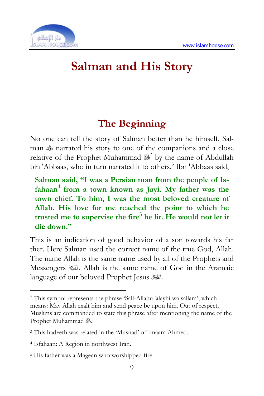

## **Salman and His Story**

## **The Beginning**

No one can tell the story of Salman better than he himself. Salman  $\text{#}$  narrated his story to one of the companions and a close relative of the Prophet Muhammad & by the name of Abdullah bin 'Abbaas, who in turn narrated it to others.<sup>3</sup> Ibn 'Abbaas said,

**Salman said, "I was a Persian man from the people of Is**fahaan<sup>4</sup> from a town known as Jayi. My father was the **town chief. To him, I was the most beloved creature of Allah. His love for me reached the point to which he**  trusted me to supervise the fire<sup>5</sup> he lit. He would not let it **die down."** 

This is an indication of good behavior of a son towards his father. Here Salman used the correct name of the true God, Allah. The name Allah is the same name used by all of the Prophets and Allah is the same name of God in the Aramaic language of our beloved Prophet Jesus .

-

<sup>2</sup> This symbol represents the phrase 'Sall-Allahu 'alayhi wa sallam', which means: May Allah exalt him and send peace be upon him. Out of respect, Muslims are commanded to state this phrase after mentioning the name of the Prophet Muhammad ...

<sup>3</sup> This hadeeth was related in the 'Musnad' of Imaam Ahmed.

<sup>4</sup> Isfahaan: A Region in northwest Iran.

<sup>5</sup> His father was a Magean who worshipped fire.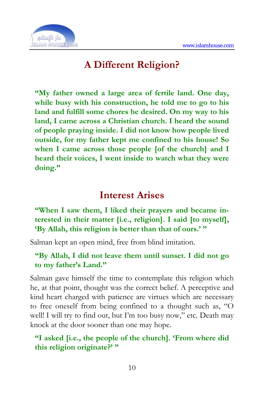

## **A Different Religion?**

**"My father owned a large area of fertile land. One day, while busy with his construction, he told me to go to his land and fulfill some chores he desired. On my way to his land, I came across a Christian church. I heard the sound of people praying inside. I did not know how people lived outside, for my father kept me confined to his house! So when I came across those people [of the church] and I heard their voices, I went inside to watch what they were doing."** 

### **Interest Arises**

**"When I saw them, I liked their prayers and became interested in their matter [i.e., religion]. I said [to myself], 'By Allah, this religion is better than that of ours.' "** 

Salman kept an open mind, free from blind imitation.

#### **"By Allah, I did not leave them until sunset. I did not go to my father's Land."**

Salman gave himself the time to contemplate this religion which he, at that point, thought was the correct belief. A perceptive and kind heart charged with patience are virtues which are necessary to free oneself from being confined to a thought such as, "O well! I will try to find out, but I'm too busy now," etc. Death may knock at the door sooner than one may hope.

#### **"I asked [i.e., the people of the church]. 'From where did this religion originate?' "**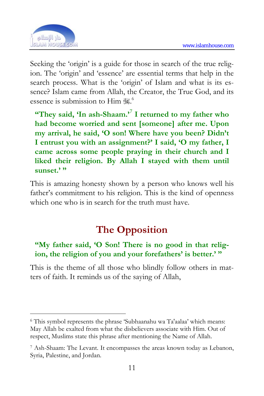

Seeking the 'origin' is a guide for those in search of the true religion. The 'origin' and 'essence' are essential terms that help in the search process. What is the 'origin' of Islam and what is its essence? Islam came from Allah, the Creator, the True God, and its essence is submission to Him to

**"They said, 'In ash-Shaam.'**<sup>7</sup>  **I returned to my father who had become worried and sent [someone] after me. Upon my arrival, he said, 'O son! Where have you been? Didn't I entrust you with an assignment?' I said, 'O my father, I came across some people praying in their church and I liked their religion. By Allah I stayed with them until sunset.' "** 

This is amazing honesty shown by a person who knows well his father's commitment to his religion. This is the kind of openness which one who is in search for the truth must have.

## **The Opposition**

#### **"My father said, 'O Son! There is no good in that religion, the religion of you and your forefathers' is better.' "**

This is the theme of all those who blindly follow others in matters of faith. It reminds us of the saying of Allah,

<sup>6</sup> This symbol represents the phrase 'Subhaanahu wa Ta'aalaa' which means: May Allah be exalted from what the disbelievers associate with Him. Out of respect, Muslims state this phrase after mentioning the Name of Allah.

<sup>7</sup> Ash-Shaam: The Levant. It encompasses the areas known today as Lebanon, Syria, Palestine, and Jordan.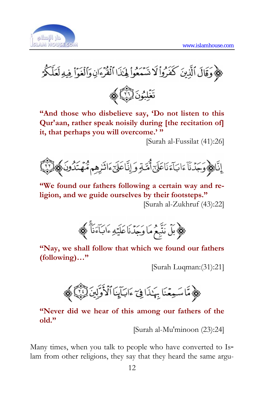

کِیْ وَقَالَ ٱلَّذِينَ كَفَرُواْ لَا تَسَمَعُواْ لِهَٰذَا ٱلْقُرَّءَانِ وَٱلْغَوَاْ فِيهِ لَعَلَّكُمْ



**"And those who disbelieve say, 'Do not listen to this Qur'aan, rather speak noisily during [the recitation of] it, that perhaps you will overcome.' "** 

[Surah al-Fussilat (41):26]



**"We found our fathers following a certain way and religion, and we guide ourselves by their footsteps."**  [Surah al-Zukhruf (43):22]



**"Nay, we shall follow that which we found our fathers (following)…"** 

[Surah Luqman:(31):21]



**"Never did we hear of this among our fathers of the old."** 

[Surah al-Mu'minoon (23):24]

Many times, when you talk to people who have converted to Is lam from other religions, they say that they heard the same argu-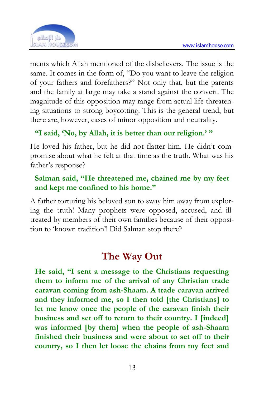

ments which Allah mentioned of the disbelievers. The issue is the same. It comes in the form of, "Do you want to leave the religion of your fathers and forefathers?" Not only that, but the parents and the family at large may take a stand against the convert. The magnitude of this opposition may range from actual life threatening situations to strong boycotting. This is the general trend, but there are, however, cases of minor opposition and neutrality.

#### **"I said, 'No, by Allah, it is better than our religion.' "**

He loved his father, but he did not flatter him. He didn't compromise about what he felt at that time as the truth. What was his father's response?

#### **Salman said, "He threatened me, chained me by my feet and kept me confined to his home."**

A father torturing his beloved son to sway him away from exploring the truth! Many prophets were opposed, accused, and illtreated by members of their own families because of their opposition to 'known tradition'! Did Salman stop there?

## **The Way Out**

**He said, "I sent a message to the Christians requesting them to inform me of the arrival of any Christian trade caravan coming from ash-Shaam. A trade caravan arrived and they informed me, so I then told [the Christians] to let me know once the people of the caravan finish their business and set off to return to their country. I [indeed] was informed [by them] when the people of ash-Shaam finished their business and were about to set off to their country, so I then let loose the chains from my feet and**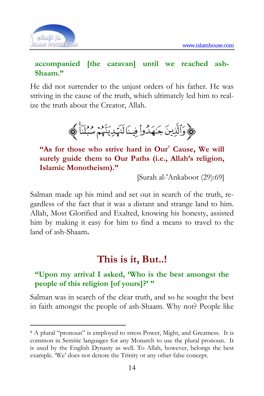

#### **accompanied [the caravan] until we reached ash-Shaam."**

He did not surrender to the unjust orders of his father. He was striving in the cause of the truth, which ultimately led him to realize the truth about the Creator, Allah.



"As for those who strive hard in Our<sup>8</sup> Cause, We will **surely guide them to Our Paths (i.e., Allah's religion, Islamic Monotheism)."** 

[Surah al-'Ankaboot (29):69]

Salman made up his mind and set out in search of the truth, regardless of the fact that it was a distant and strange land to him. Allah, Most Glorified and Exalted, knowing his honesty, assisted him by making it easy for him to find a means to travel to the land of ash-Shaam**.**

## **This is it, But..!**

#### **"Upon my arrival I asked, 'Who is the best amongst the people of this religion [of yours]?' "**

Salman was in search of the clear truth, and so he sought the best in faith amongst the people of ash-Shaam. Why not? People like

<sup>8</sup> A plural "pronoun" is employed to stress Power, Might, and Greatness. It is common in Semitic languages for any Monarch to use the plural pronoun. It is used by the English Dynasty as well. To Allah, however, belongs the best example. 'We' does not denote the Trinity or any other false concept.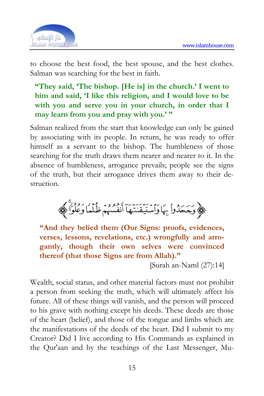

to choose the best food, the best spouse, and the best clothes. Salman was searching for the best in faith.

#### **"They said, 'The bishop. [He is] in the church.' I went to him and said, 'I like this religion, and I would love to be with you and serve you in your church, in order that I may learn from you and pray with you.' "**

Salman realized from the start that knowledge can only be gained by associating with its people. In return, he was ready to offer himself as a servant to the bishop. The humbleness of those searching for the truth draws them nearer and nearer to it. In the absence of humbleness, arrogance prevails; people see the signs of the truth, but their arrogance drives them away to their destruction.



**"And they belied them (Our Signs: proofs, evidences, verses, lessons, revelations, etc.) wrongfully and arrogantly, though their own selves were convinced thereof (that those Signs are from Allah)."** 

[Surah an-Naml (27):14]

Wealth, social status, and other material factors must not prohibit a person from seeking the truth, which will ultimately affect his future. All of these things will vanish, and the person will proceed to his grave with nothing except his deeds. These deeds are those of the heart (belief), and those of the tongue and limbs which are the manifestations of the deeds of the heart. Did I submit to my Creator? Did I live according to His Commands as explained in the Qur'aan and by the teachings of the Last Messenger, Mu-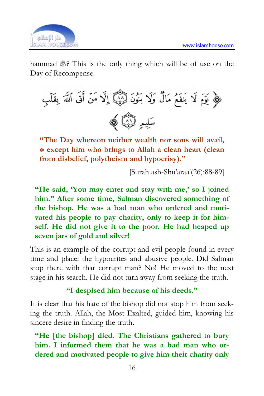

hammad . This is the only thing which will be of use on the Day of Recompense.



**"The Day whereon neither wealth nor sons will avail, \* except him who brings to Allah a clean heart (clean from disbelief, polytheism and hypocrisy)."** 

[Surah ash-Shu'araa'(26):88-89]

**"He said, 'You may enter and stay with me,' so I joined him." After some time, Salman discovered something of the bishop. He was a bad man who ordered and motivated his people to pay charity, only to keep it for himself. He did not give it to the poor. He had heaped up seven jars of gold and silver!** 

This is an example of the corrupt and evil people found in every time and place: the hypocrites and abusive people. Did Salman stop there with that corrupt man? No! He moved to the next stage in his search. He did not turn away from seeking the truth.

#### **"I despised him because of his deeds."**

It is clear that his hate of the bishop did not stop him from seeking the truth. Allah, the Most Exalted, guided him, knowing his sincere desire in finding the truth**.**

**"He [the bishop] died. The Christians gathered to bury him. I informed them that he was a bad man who ordered and motivated people to give him their charity only**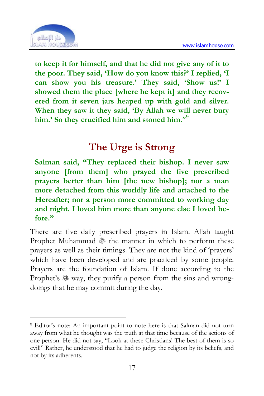

**to keep it for himself, and that he did not give any of it to the poor. They said, 'How do you know this?' I replied, 'I can show you his treasure.' They said, 'Show us!' I showed them the place [where he kept it] and they recovered from it seven jars heaped up with gold and silver. When they saw it they said, 'By Allah we will never bury him.' So they crucified him and stoned him**."<sup>9</sup>

## **The Urge is Strong**

**Salman said, "They replaced their bishop. I never saw anyone [from them] who prayed the five prescribed prayers better than him [the new bishop]; nor a man more detached from this worldly life and attached to the Hereafter; nor a person more committed to working day and night. I loved him more than anyone else I loved before."** 

There are five daily prescribed prayers in Islam. Allah taught Prophet Muhammad <sup>3</sup> the manner in which to perform these prayers as well as their timings. They are not the kind of 'prayers' which have been developed and are practiced by some people. Prayers are the foundation of Islam. If done according to the Prophet's <sup>\$</sup> way, they purify a person from the sins and wrongdoings that he may commit during the day.

<sup>9</sup> Editor's note: An important point to note here is that Salman did not turn away from what he thought was the truth at that time because of the actions of one person. He did not say, "Look at these Christians! The best of them is so evil!" Rather, he understood that he had to judge the religion by its beliefs, and not by its adherents.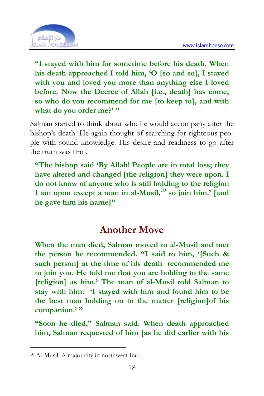

**"I stayed with him for sometime before his death. When his death approached I told him, 'O [so and so], I stayed with you and loved you more than anything else I loved before. Now the Decree of Allah [i.e., death] has come, so who do you recommend for me [to keep to], and with**  what do you order me?' "

Salman started to think about who he would accompany after the bishop's death. He again thought of searching for righteous people with sound knowledge. His desire and readiness to go after the truth was firm.

**"The bishop said 'By Allah! People are in total loss; they have altered and changed [the religion] they were upon. I do not know of anyone who is still holding to the religion I am upon except a man in al-Musil,**<sup>10</sup> **so join him.' [and he gave him his name]"** 

## **Another Move**

**When the man died, Salman moved to al-Musil and met the person he recommended. "I said to him, '[Such & such person] at the time of his death recommended me to join you. He told me that you are holding to the same [religion] as him.' The man of al-Musil told Salman to stay with him. 'I stayed with him and found him to be the best man holding on to the matter [religion]of his companion.' "** 

**"Soon he died," Salman said. When death approached him, Salman requested of him [as he did earlier with his** 

-

<sup>10</sup> Al-Musil: A major city in northwest Iraq.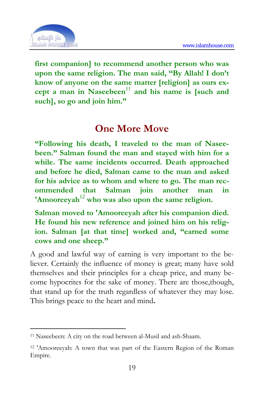

**first companion] to recommend a[no](#page-18-0)ther person who was upon the same religion. The man said, "By Allah! I don't know of anyone on the same matter [religion] as ours ex**cept a man in Naseebeen<sup>11</sup> and his name is [such and **such], so go and join him."** 

### **One More Move**

**"Following his death, I traveled to the man of Naseebeen." Salman found the man and stayed with him for a while. The same incidents occurred. Death approached and before he died, Salman came to the man and asked for his advice as to whom and where to go. The man recommended that Salman join another man in 'Amooreeyah**<sup>12</sup> **who was also upon the same religion.** 

**Salman moved to 'Amooreeyah after his companion died. He found his new reference and joined him on his religion. Salman [at that time] worked and, "earned some cows and one sheep."** 

A good and lawful way of earning is very important to the believer. Certainly the influence of money is great; many have sold themselves and their principles for a cheap price, and many become hypocrites for the sake of money. There are those,though, that stand up for the truth regardless of whatever they may lose. This brings peace to the heart and mind**.**

<sup>11</sup> Naseebeen: A city on the road between al-Musil and ash-Shaam.

<span id="page-18-0"></span><sup>12 &#</sup>x27;Amooreeyah: A town that was part of the Eastern Region of the Roman Empire.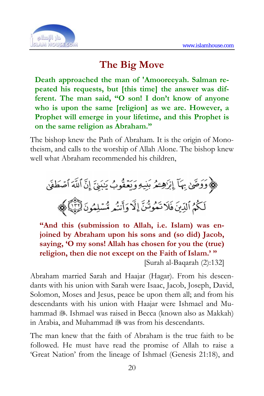

## **The Big Move**

**Death approached the man of 'Amooreeyah. Salman repeated his requests, but [this time] the answer was different. The man said, "O son! I don't know of anyone who is upon the same [religion] as we are. However, a Prophet will emerge in your lifetime, and this Prophet is on the same religion as Abraham."** 

The bishop knew the Path of Abraham. It is the origin of Monotheism, and calls to the worship of Allah Alone. The bishop knew well what Abraham recommended his children,

﴾ وَوَصَّىٰ بِهَآ إِبْرَٰهِــُمُ بَنِيهِ وَيَعۡقُوبُ يَبَنِيَّ إِنَّ ٱللَّهَ ٱصۡطَفَىٰ لَكُمُ ٱلَّذِينَ فَلَا تَمُوتُنَّ إِلَّا وَأَنتُم مُّسۡلِمُونَ لِّلَّيْلَ}

**"And this (submission to Allah, i.e. Islam) was enjoined by Abraham upon his sons and (so did) Jacob, saying, 'O my sons! Allah has chosen for you the (true) religion, then die not except on the Faith of Islam.' "** 

[Surah al-Baqarah (2):132]

Abraham married Sarah and Haajar (Hagar). From his descendants with his union with Sarah were Isaac, Jacob, Joseph, David, Solomon, Moses and Jesus, peace be upon them all; and from his descendants with his union with Haajar were Ishmael and Muhammad  $\ddot{\text{m}}$ . Ishmael was raised in Becca (known also as Makkah) in Arabia, and Muhammad 38 was from his descendants.

The man knew that the faith of Abraham is the true faith to be followed. He must have read the promise of Allah to raise a 'Great Nation' from the lineage of Ishmael (Genesis 21:18), and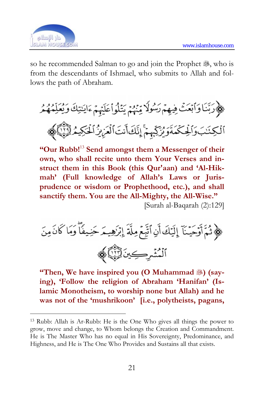

so he recommended Salman to go and join the Prophet ..., who is from the descendants of Ishmael, who submits to Allah and follows the path of Abraham.

﴾ وَبَّنَا وَأَبْعَثْ فِيهِمْ رَسُولًا مِّنْهُمْ يَتْلُواْعَلَيْمُ ءَايَنتِكَ وَيُعَلِّمُهُمُ ٱڶ۫ڮٺؘڹۘۅؘٲڵؚڂؚڬڡؘةؘۅؘؽؙڒؚٙڮۭۨؠٕۭۜمَّ إِنَّكَأَنتَ ٱلۡعَزِيزُ ٱلۡكَٰٓكِيمُ ٱلۡثَيْنَ

**"Our Rubb!**<sup>13</sup> **Send amongst them a Messenger of their own, who shall recite unto them Your Verses and instruct them in this Book (this Qur'aan) and 'Al-Hikmah' (Full knowledge of Allah's Laws or Jurisprudence or wisdom or Prophethood, etc.), and shall sanctify them. You are the All-Mighty, the All-Wise."**  [Surah al-Baqarah (2):129]

﴿ ثُمَّ أَوْحَيْنَآ إِلَيۡكَ أَنِ ٱتَّبِعۡ مِلَّةَ إِبۡزَهِيـمَ حَنِيفًا ۖ وَمَا كَانَ مِنَ ٱلۡمُشۡرِكِينَ ٱلۡلَّهِمَٰۚ

**"Then, We have inspired you (O Muhammad 3) (saying), 'Follow the religion of Abraham 'Hanifan' (Islamic Monotheism, to worship none but Allah) and he was not of the 'mushrikoon' [i.e., polytheists, pagans,**

<sup>13</sup> Rubb: Allah is Ar-Rubb: He is the One Who gives all things the power to grow, move and change, to Whom belongs the Creation and Commandment. He is The Master Who has no equal in His Sovereignty, Predominance, and Highness, and He is The One Who Provides and Sustains all that exists.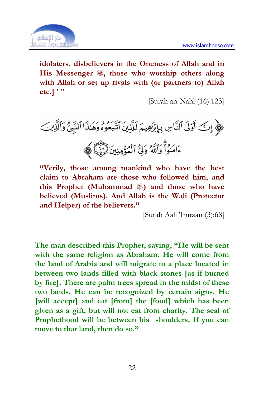

**idolaters, disbelievers in the Oneness of Allah and in His Messenger , those who worship others along with Allah or set up rivals with (or partners to) Allah etc.] ' "** 

[Surah an-Nahl (16):123]

**"Verily, those among mankind who have the best claim to Abraham are those who followed him, and**  this Prophet (Muhammad **3**) and those who have **believed (Muslims). And Allah is the Wali (Protector and Helper) of the believers."** 

[Surah Aali 'Imraan (3):68]

**The man described this Prophet, saying, "He will be sent with the same religion as Abraham. He will come from the land of Arabia and will migrate to a place located in between two lands filled with black stones [as if burned by fire]. There are palm trees spread in the midst of these two lands. He can be recognized by certain signs. He [will accept] and eat [from] the [food] which has been given as a gift, but will not eat from charity. The seal of Prophethood will be between his shoulders. If you can move to that land, then do so."**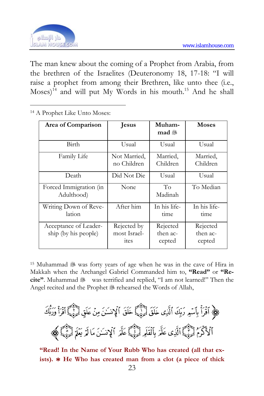

The man knew about the coming of a Prophet from Arabia, from the brethren of the Israelites (Deuteronomy 18, 17-18: "I will raise a prophet from among their Brethren, like unto thee (i.e.,  $Moses)$ <sup>14</sup> and will put My Words in his mouth.<sup>15</sup> And he shall

| Area of Comparison                            | <b>Jesus</b>                        | Muham-<br>mad .                | <b>Moses</b>                   |
|-----------------------------------------------|-------------------------------------|--------------------------------|--------------------------------|
| Birth                                         | Usual                               | Usual                          | Usual                          |
| Family Life                                   | Not Married.<br>no Children         | Married,<br>Children           | Married,<br>Children           |
| Death                                         | Did Not Die                         | Usual                          | Usual                          |
| Forced Immigration (in<br>Adulthood)          | None                                | To<br>Madinah                  | To Median                      |
| Writing Down of Reve-<br>lation               | After him                           | In his life-<br>time           | In his life-<br>time           |
| Acceptance of Leader-<br>ship (by his people) | Rejected by<br>most Israel-<br>ites | Rejected<br>then ac-<br>cepted | Rejected<br>then ac-<br>cepted |

<u>.</u> 14 A Prophet Like Unto Moses:

<sup>15</sup> Muhammad <sup>38</sup> was forty years of age when he was in the cave of Hira in Makkah when the Archangel Gabriel Commanded him to, **"Read"** or **"Recite"**. Muhammad was terrified and replied, "I am not learned!" Then the Angel recited and the Prophet & rehearsed the Words of Allah,

﴿ آَقَرَأْ بِٱسۡمِ رَبِّكَ ٱلَّذِى خَلَقَ لَّيۡبَيۡۖ خَلَقَ ٱلۡإِنسَٰنَ مِنۡ عَلَقٍ لِّيۡبَٰٓ ۚ ٱقۡرَأۡ وَرَبُّكَ ٱلْأَكْرَمُ لِّيُّ}َ ٱلَّذِى عَلَّمَ بِٱلْقَابِرِ لِّيُّ}ِ عَلَّمَ ٱلْإِنسَـٰنَ مَا لَمْ يَغَلِّمُ لِنَّبِيًّا لِهِمَج

**"Read! In the Name of Your Rubb Who has created (all that exists). \* He Who has created man from a clot (a piece of thick**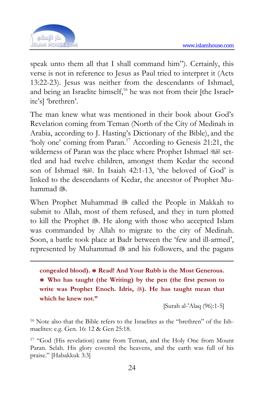

speak unto them all that I shall command him"). Certainly, this verse is not in reference to Jesus as Paul tried to interpret it (Acts 13:22-23). Jesus was neither from the descendants of Ishmael, and being an Israelite himself,<sup>16</sup> he was not from their [the Israelite's] 'brethren'.

The man knew what was mentioned in their book about God's Revelation coming from Teman (North of the City of Medinah in Arabia, according to J. Hasting's Dictionary of the Bible), and the 'holy one' coming from Paran.17 According to Genesis 21:21, the wilderness of Paran was the place where Prophet Ishmael  $\mathbb{R}^3$  settled and had twelve children, amongst them Kedar the second son of Ishmael . In Isaiah 42:1-13, 'the beloved of God' is linked to the descendants of Kedar, the ancestor of Prophet Muhammad &

When Prophet Muhammad & called the People in Makkah to submit to Allah, most of them refused, and they in turn plotted to kill the Prophet ... He along with those who accepted Islam was commanded by Allah to migrate to the city of Medinah. Soon, a battle took place at Badr between the 'few and ill-armed', represented by Muhammad 38 and his followers, and the pagans

**congealed blood). \* Read! And Your Rubb is the Most Generous. \* Who has taught (the Writing) by the pen (the first person to write was Prophet Enoch. Idris, ). He has taught mean that which he knew not."** 

[Surah al-'Alaq (96):1-5]

16 Note also that the Bible refers to the Israelites as the "brethren" of the Ishmaelites: e.g. Gen. 16: 12 & Gen 25:18.

17 "God (His revelation) came from Teman, and the Holy One from Mount Paran. Selah. His glory covered the heavens, and the earth was full of his praise." [Habakkuk 3:3]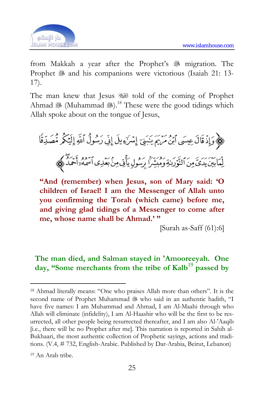

from Makkah a year after the Prophet's <sup>5</sup> migration. The Prophet & and his companions were victorious (Isaiah 21: 13-17).

The man knew that Jesus told of the coming of Prophet Ahmad  $\mathcal{L}(M)$ .<sup>18</sup> These were the good tidings which Allah spoke about on the tongue of Jesus,

﴿ وَإِذْ قَالَ عِسَى ٱبْنُ مَرْيَمَ يَبَنِيَ إِسْرَةٍ بِلَ إِنِّي رَسُولُ ٱللَّهِ إِلَيْكُمْ مُّصَدِّقًا لِّمَابَيْنَ يَدَىَّ مِنَ ٱلنَّوَرَىٰةِ وَمُبَشِّرًا بِرَسُولِ يَأْتِي مِنْ بَعَٰدِي ٱسْمُهُ ٓ أَحْمَدُ وَلِمَجْم

**"And (remember) when Jesus, son of Mary said: 'O children of Israel! I am the Messenger of Allah unto you confirming the Torah (which came) before me, and giving glad tidings of a Messenger to come after me, whose name shall be Ahmad.' "** 

[Surah as-Saff (61):6]

#### **The man died, and Salman stayed in 'Amooreeyah. One day, "Some merchants from the tribe of Kalb**<sup>19</sup> **passed by**

-

<sup>18</sup> Ahmad literally means: "One who praises Allah more than others". It is the second name of Prophet Muhammad & who said in an authentic hadith, "I have five names: I am Muhammad and Ahmad, I am Al-Maahi through who Allah will eliminate (infidelity), I am Al-Haashir who will be the first to be resurrected, all other people being resurrected thereafter, and I am also Al-'Aaqib [i.e., there will be no Prophet after me]. This narration is reported in Sahih al-Bukhaari, the most authentic collection of Prophetic sayings, actions and traditions. (V.4, # 732, English-Arabic. Published by Dar-Arabia, Beirut, Lebanon)

<sup>19</sup> An Arab tribe.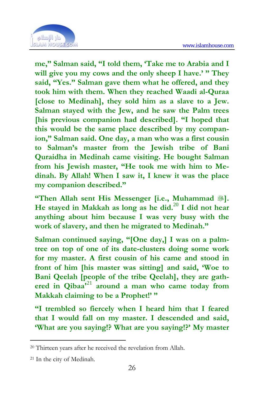

**me," Salman said, "I told them, 'Take me to Arabia and I will give you my cows and the only sheep I have.' " They said, "Yes." Salman gave them what he offered, and they took him with them. When they reached Waadi al-Quraa [close to Medinah], they sold him as a slave to a Jew. Salman stayed with the Jew, and he saw the Palm trees [his previous companion had described]. "I hoped that this would be the same place described by my companion," Salman said. One day, a man who was a first cousin to Salman's master from the Jewish tribe of Bani Quraidha in Medinah came visitin[g. H](#page-25-0)e bought Salman from his Jewish master, "He took me with him to Medinah. By Allah! When I saw it, I knew it was the place my companion described."** 

**"Then Allah sent His Messenger [i.e., Muhammad ]. He stayed in Makkah as long as he did.**<sup>20</sup> **I did not hear anything about him because I was very busy with the work of slavery, and then he migrated to Medinah."** 

**Salman continued saying, "[One day,] I was on a palmtree on top of one of its date-clusters doing some work for my master. A first cousin of his came and stood in front of him [his master was sitting] and said, 'Woe to Bani Qeelah [people of the tribe Qeelah], they are gathered in Qibaa'**<sup>21</sup> **around a man who came today from Makkah claiming to be a Prophet!' "** 

**"I trembled so fiercely when I heard him that I feared that I would fall on my master. I descended and said, 'What are you saying!? What are you saying!?' My master** 

<u>.</u>

<sup>20</sup> Thirteen years after he received the revelation from Allah.

<span id="page-25-0"></span><sup>21</sup> In the city of Medinah.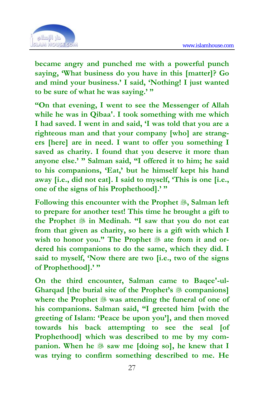

**became angry and punched me with a powerful punch saying, 'What business do you have in this [matter]? Go and mind your business.' I said, 'Nothing! I just wanted to be sure of what he was saying.' "** 

**"On that evening, I went to see the Messenger of Allah while he was in Qibaa'. I took something with me which I had saved. I went in and said, 'I was told that you are a righteous man and that your company [who] are strangers [here] are in need. I want to offer you something I saved as charity. I found that you deserve it more than anyone else.' " Salman said, "I offered it to him; he said to his companions, 'Eat,' but he himself kept his hand away [i.e., did not eat]. I said to myself, 'This is one [i.e., one of the signs of his Prophethood].' "** 

**Following this encounter with the Prophet , Salman left to prepare for another test! This time he brought a gift to the Prophet in Medinah. "I saw that you do not eat from that given as charity, so here is a gift with which I**  wish to honor you." The Prophet <sup>\$</sup> ate from it and or**dered his companions to do the same, which they did. I said to myself, 'Now there are two [i.e., two of the signs of Prophethood].' "** 

**On the third encounter, Salman came to Baqee'-ul-Gharqad [the burial site of the Prophet's companions] where the Prophet was attending the funeral of one of his companions. Salman said, "I greeted him [with the greeting of Islam: 'Peace be upon you'], and then moved towards his back attempting to see the seal [of Prophethood] which was described to me by my companion.** When he  $\frac{48}{36}$  saw me [doing so], he knew that I **was trying to confirm something described to me. He**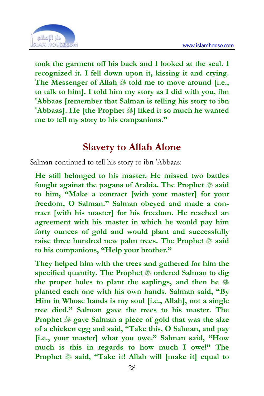

**took the garment off his back and I looked at the seal. I recognized it. I fell down upon it, kissing it and crying.**  The Messenger of Allah <sup>\$\$</sup> told me to move around [i.e., **to talk to him]. I told him my story as I did with you, ibn 'Abbaas [remember that Salman is telling his story to ibn 'Abbaas]. He [the Prophet ��] liked it so much he wanted me to tell my story to his companions."** 

### **Slavery to Allah Alone**

Salman continued to tell his story to ibn 'Abbaas:

**He still belonged to his master. He missed two battles fought against the pagans of Arabia. The Prophet said to him, "Make a contract [with your master] for your freedom, O Salman." Salman obeyed and made a contract [with his master] for his freedom. He reached an agreement with his master in which he would pay him forty ounces of gold and would plant and successfully raise three hundred new palm trees. The Prophet said to his companions, "Help your brother."** 

**They helped him with the trees and gathered for him the specified quantity. The Prophet**  $\frac{35}{20}$  **ordered Salman to dig the proper holes to plant the saplings, and then he planted each one with his own hands. Salman said, "By Him in Whose hands is my soul [i.e., Allah], not a single tree died." Salman gave the trees to his master. The Prophet gave Salman a piece of gold that was the size of a chicken egg and said, "Take this, O Salman, and pay [i.e., your master] what you owe." Salman said, "How much is this in regards to how much I owe!" The Prophet said, "Take it! Allah will [make it] equal to**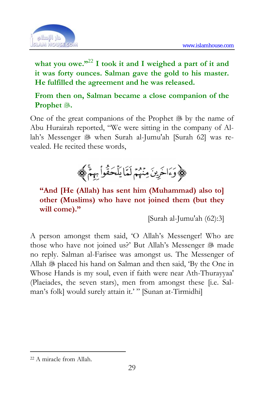

**what you owe."**<sup>22</sup> **I took it and I weighed a part of it and it was forty ounces. Salman gave the gold to his master. He fulfilled the agreement and he was released.** 

**From then on, Salman became a close companion of the Prophet .** 

One of the great companions of the Prophet  $\mathcal{F}$  by the name of Abu Hurairah reported, "We were sitting in the company of Allah's Messenger & when Surah al-Jumu'ah [Surah 62] was revealed. He recited these words,



**"And [He (Allah) has sent him (Muhammad) also to] other (Muslims) who have not joined them (but they will come)."** 

[Surah al-Jumu'ah (62):3]

A person amongst them said, 'O Allah's Messenger! Who are those who have not joined us?' But Allah's Messenger 3 made no reply. Salman al-Farisee was amongst us. The Messenger of Allah  $\mathcal{B}$  placed his hand on Salman and then said, 'By the One in Whose Hands is my soul, even if faith were near Ath-Thurayyaa' (Plaeiades, the seven stars), men from amongst these [i.e. Salman's folk] would surely attain it.' " [Sunan at-Tirmidhi]

-

<sup>22</sup> A miracle from Allah.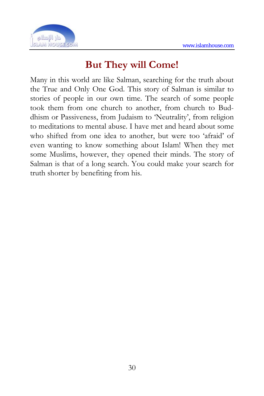

## **But They will Come!**

Many in this world are like Salman, searching for the truth about the True and Only One God. This story of Salman is similar to stories of people in our own time. The search of some people took them from one church to another, from church to Buddhism or Passiveness, from Judaism to 'Neutrality', from religion to meditations to mental abuse. I have met and heard about some who shifted from one idea to another, but were too 'afraid' of even wanting to know something about Islam! When they met some Muslims, however, they opened their minds. The story of Salman is that of a long search. You could make your search for truth shorter by benefiting from his.